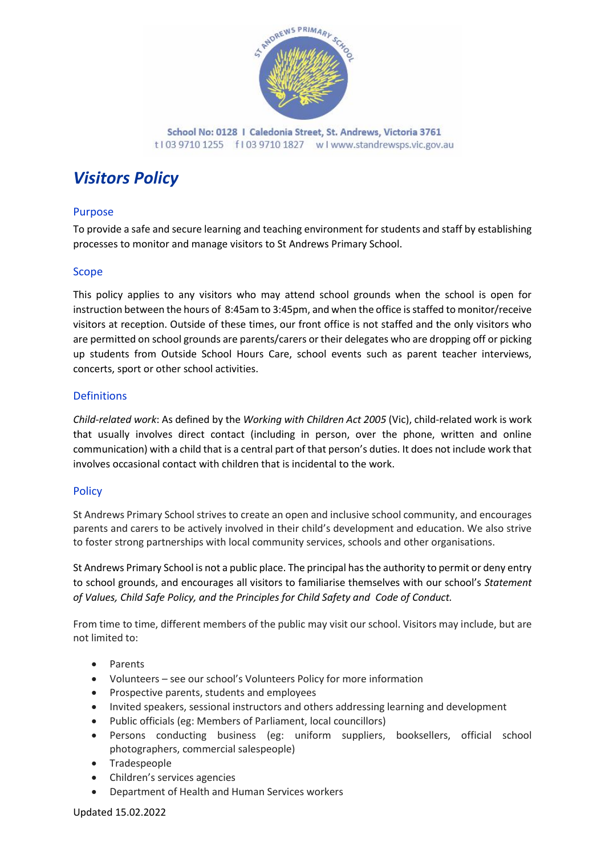

School No: 0128 | Caledonia Street, St. Andrews, Victoria 3761 t103 9710 1255 f103 9710 1827 wlwww.standrewsps.vic.gov.au

# *Visitors Policy*

# Purpose

To provide a safe and secure learning and teaching environment for students and staff by establishing processes to monitor and manage visitors to St Andrews Primary School.

## Scope

This policy applies to any visitors who may attend school grounds when the school is open for instruction between the hours of 8:45am to 3:45pm, and when the office is staffed to monitor/receive visitors at reception. Outside of these times, our front office is not staffed and the only visitors who are permitted on school grounds are parents/carers or their delegates who are dropping off or picking up students from Outside School Hours Care, school events such as parent teacher interviews, concerts, sport or other school activities.

## Definitions

*Child-related work*: As defined by the *Working with Children Act 2005* (Vic), child-related work is work that usually involves direct contact (including in person, over the phone, written and online communication) with a child that is a central part of that person's duties. It does not include work that involves occasional contact with children that is incidental to the work.

## **Policy**

St Andrews Primary School strives to create an open and inclusive school community, and encourages parents and carers to be actively involved in their child's development and education. We also strive to foster strong partnerships with local community services, schools and other organisations.

St Andrews Primary School is not a public place. The principal has the authority to permit or deny entry to school grounds, and encourages all visitors to familiarise themselves with our school's *Statement of Values, Child Safe Policy, and the Principles for Child Safety and Code of Conduct.* 

From time to time, different members of the public may visit our school. Visitors may include, but are not limited to:

- Parents
- Volunteers see our school's Volunteers Policy for more information
- Prospective parents, students and employees
- Invited speakers, sessional instructors and others addressing learning and development
- Public officials (eg: Members of Parliament, local councillors)
- Persons conducting business (eg: uniform suppliers, booksellers, official school photographers, commercial salespeople)
- Tradespeople
- Children's services agencies
- Department of Health and Human Services workers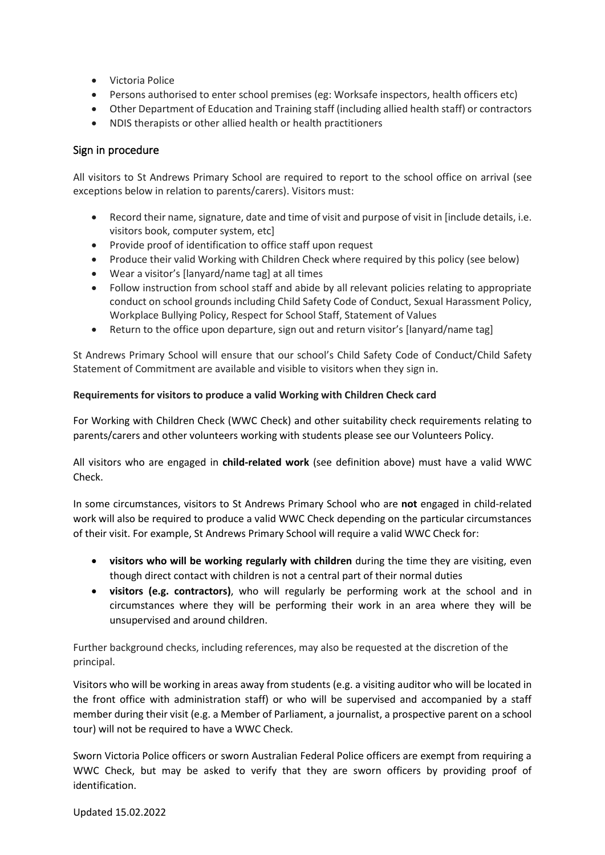- Victoria Police
- Persons authorised to enter school premises (eg: Worksafe inspectors, health officers etc)
- Other Department of Education and Training staff (including allied health staff) or contractors
- NDIS therapists or other allied health or health practitioners

# Sign in procedure

All visitors to St Andrews Primary School are required to report to the school office on arrival (see exceptions below in relation to parents/carers). Visitors must:

- Record their name, signature, date and time of visit and purpose of visit in [include details, i.e. visitors book, computer system, etc]
- Provide proof of identification to office staff upon request
- Produce their valid Working with Children Check where required by this policy (see below)
- Wear a visitor's [lanyard/name tag] at all times
- Follow instruction from school staff and abide by all relevant policies relating to appropriate conduct on school grounds including Child Safety Code of Conduct, Sexual Harassment Policy, Workplace Bullying Policy, Respect for School Staff, Statement of Values
- Return to the office upon departure, sign out and return visitor's [lanyard/name tag]

St Andrews Primary School will ensure that our school's Child Safety Code of Conduct/Child Safety Statement of Commitment are available and visible to visitors when they sign in.

## **Requirements for visitors to produce a valid Working with Children Check card**

For Working with Children Check (WWC Check) and other suitability check requirements relating to parents/carers and other volunteers working with students please see our Volunteers Policy.

All visitors who are engaged in **child-related work** (see definition above) must have a valid WWC Check.

In some circumstances, visitors to St Andrews Primary School who are **not** engaged in child-related work will also be required to produce a valid WWC Check depending on the particular circumstances of their visit. For example, St Andrews Primary School will require a valid WWC Check for:

- **visitors who will be working regularly with children** during the time they are visiting, even though direct contact with children is not a central part of their normal duties
- **visitors (e.g. contractors)**, who will regularly be performing work at the school and in circumstances where they will be performing their work in an area where they will be unsupervised and around children.

Further background checks, including references, may also be requested at the discretion of the principal.

Visitors who will be working in areas away from students (e.g. a visiting auditor who will be located in the front office with administration staff) or who will be supervised and accompanied by a staff member during their visit (e.g. a Member of Parliament, a journalist, a prospective parent on a school tour) will not be required to have a WWC Check.

Sworn Victoria Police officers or sworn Australian Federal Police officers are exempt from requiring a WWC Check, but may be asked to verify that they are sworn officers by providing proof of identification.